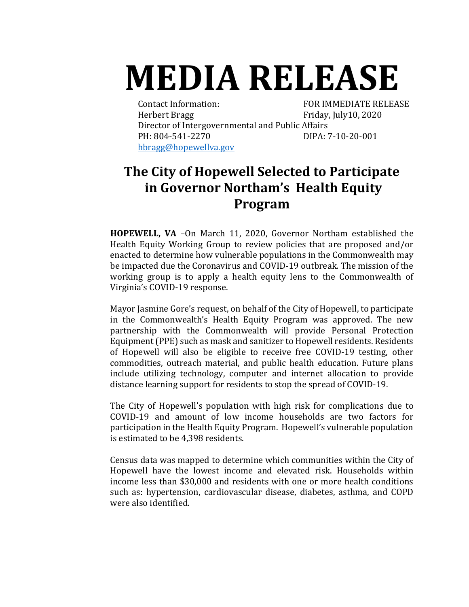## **MEDIA RELEASE**

Contact Information: FOR IMMEDIATE RELEASE Herbert Bragg Friday, July10, 2020 Director of Intergovernmental and Public Affairs PH: 804-541-2270 DIPA: 7-10-20-001 [hbragg@hopewellva.gov](mailto:hbragg@hopewellva.gov)

## **The City of Hopewell Selected to Participate in Governor Northam's Health Equity Program**

**HOPEWELL, VA** –On March 11, 2020, Governor Northam established the Health Equity Working Group to review policies that are proposed and/or enacted to determine how vulnerable populations in the Commonwealth may be impacted due the Coronavirus and COVID-19 outbreak. The mission of the working group is to apply a health equity lens to the Commonwealth of Virginia's COVID-19 response.

Mayor Jasmine Gore's request, on behalf of the City of Hopewell, to participate in the Commonwealth's Health Equity Program was approved. The new partnership with the Commonwealth will provide Personal Protection Equipment (PPE) such as mask and sanitizer to Hopewell residents. Residents of Hopewell will also be eligible to receive free COVID-19 testing, other commodities, outreach material, and public health education. Future plans include utilizing technology, computer and internet allocation to provide distance learning support for residents to stop the spread of COVID-19.

The City of Hopewell's population with high risk for complications due to COVID-19 and amount of low income households are two factors for participation in the Health Equity Program. Hopewell's vulnerable population is estimated to be 4,398 residents.

Census data was mapped to determine which communities within the City of Hopewell have the lowest income and elevated risk. Households within income less than \$30,000 and residents with one or more health conditions such as: hypertension, cardiovascular disease, diabetes, asthma, and COPD were also identified.